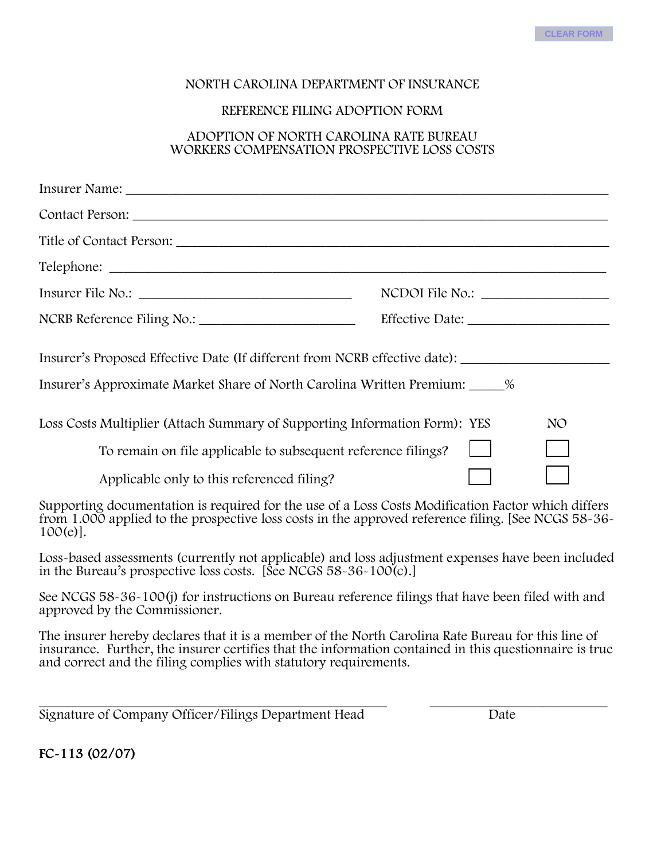### NORTH CAROLINA DEPARTMENT OF INSURANCE

## REFERENCE FILING ADOPTION FORM

#### ADOPTION OF NORTH CAROLINA RATE BUREAU WORKERS COMPENSATION PROSPECTIVE LOSS COSTS

|                                                                                                                                                                                                                          | NCDOI File No.: |                 |  |  |  |
|--------------------------------------------------------------------------------------------------------------------------------------------------------------------------------------------------------------------------|-----------------|-----------------|--|--|--|
|                                                                                                                                                                                                                          | Effective Date: |                 |  |  |  |
| Insurer's Proposed Effective Date (If different from NCRB effective date):                                                                                                                                               |                 |                 |  |  |  |
| Insurer's Approximate Market Share of North Carolina Written Premium: _____ %                                                                                                                                            |                 |                 |  |  |  |
| Loss Costs Multiplier (Attach Summary of Supporting Information Form): YES                                                                                                                                               |                 | NO <sub>1</sub> |  |  |  |
| To remain on file applicable to subsequent reference filings?                                                                                                                                                            |                 |                 |  |  |  |
| Applicable only to this referenced filing?                                                                                                                                                                               |                 |                 |  |  |  |
| Supporting documentation is required for the use of a Loss Costs Modification Factor which differs<br>from 1.000 applied to the prospective loss costs in the approved reference filing. [See NCGS 58-36-<br>$100(e)$ ]. |                 |                 |  |  |  |
| Loss-based assessments (currently not applicable) and loss adjustment expenses have been included<br>in the Bureau's prospective loss costs. [See NCGS $58-36-100(c)$ .]                                                 |                 |                 |  |  |  |
| See NCGS 58~36~100(j) for instructions on Bureau reference filings that have been filed with and<br>approved by the Commissioner.                                                                                        |                 |                 |  |  |  |

The insurer hereby declares that it is a member of the North Carolina Rate Bureau for this line of insurance. Further, the insurer certifies that the information contained in this questionnaire is true and correct and the filing complies with statutory requirements.

\_\_\_\_\_\_\_\_\_\_\_\_\_\_\_\_\_\_\_\_\_\_\_\_\_\_\_\_\_\_\_\_\_\_\_\_\_\_\_\_\_\_\_\_\_\_\_\_\_ \_\_\_\_\_\_\_\_\_\_\_\_\_\_\_\_\_\_\_\_\_\_\_\_\_ Signature of Company Officer/Filings Department Head Date

FC-113 (02/07)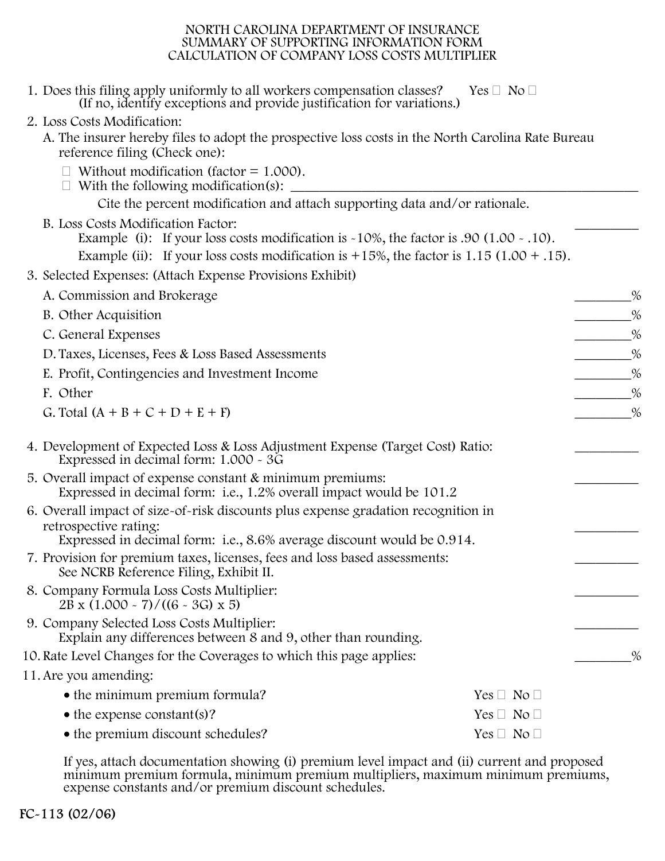#### NORTH CAROLINA DEPARTMENT OF INSURANCE SUMMARY OF SUPPORTING INFORMATION FORM CALCULATION OF COMPANY LOSS COSTS MULTIPLIER

| 1. Does this filing apply uniformly to all workers compensation classes?<br>(If no, identify exceptions and provide justification for variations.) | $Yes \Box No \Box$ |
|----------------------------------------------------------------------------------------------------------------------------------------------------|--------------------|
| 2. Loss Costs Modification:                                                                                                                        |                    |
| A. The insurer hereby files to adopt the prospective loss costs in the North Carolina Rate Bureau<br>reference filing (Check one):                 |                    |
| $\Box$ Without modification (factor = 1.000).<br>$\Box$ With the following modification(s):                                                        |                    |
| Cite the percent modification and attach supporting data and/or rationale.                                                                         |                    |
| B. Loss Costs Modification Factor:<br>Example (i): If your loss costs modification is $~10\%$ , the factor is .90 (1.00 - .10).                    |                    |
| Example (ii): If your loss costs modification is $+15\%$ , the factor is 1.15 (1.00 + .15).                                                        |                    |
| 3. Selected Expenses: (Attach Expense Provisions Exhibit)                                                                                          |                    |
| A. Commission and Brokerage                                                                                                                        | %                  |
| B. Other Acquisition                                                                                                                               | %                  |
| C. General Expenses                                                                                                                                | %                  |
| D. Taxes, Licenses, Fees & Loss Based Assessments                                                                                                  | %                  |
| E. Profit, Contingencies and Investment Income                                                                                                     | %                  |
| F. Other                                                                                                                                           | %                  |
| G. Total $(A + B + C + D + E + F)$                                                                                                                 | %                  |
| 4. Development of Expected Loss & Loss Adjustment Expense (Target Cost) Ratio:<br>Expressed in decimal form: $1.000 - 3\tilde{G}$                  |                    |
| 5. Overall impact of expense constant & minimum premiums:<br>Expressed in decimal form: i.e., 1.2% overall impact would be 101.2                   |                    |
| 6. Overall impact of size-of-risk discounts plus expense gradation recognition in                                                                  |                    |
| retrospective rating:<br>Expressed in decimal form: i.e., 8.6% average discount would be 0.914.                                                    |                    |
| 7. Provision for premium taxes, licenses, fees and loss based assessments:<br>See NCRB Reference Filing, Exhibit II.                               |                    |
| 8. Company Formula Loss Costs Multiplier:<br>$2B x (1.000 - 7) / ((6 - 3G) x 5)$                                                                   |                    |
| 9. Company Selected Loss Costs Multiplier:<br>Explain any differences between 8 and 9, other than rounding.                                        |                    |
| 10. Rate Level Changes for the Coverages to which this page applies:                                                                               | $\%$               |
| 11. Are you amending:                                                                                                                              |                    |
| • the minimum premium formula?                                                                                                                     | $Yes \Box No \Box$ |
| $\bullet$ the expense constant(s)?                                                                                                                 | $Yes \Box No \Box$ |
| • the premium discount schedules?                                                                                                                  | $Yes \Box No \Box$ |

If yes, attach documentation showing (i) premium level impact and (ii) current and proposed minimum premium formula, minimum premium multipliers, maximum minimum premiums, expense constants and/or premium discount schedules.